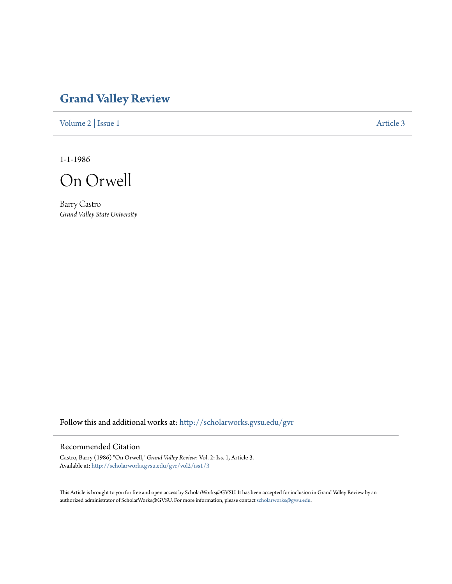## **[Grand Valley Review](http://scholarworks.gvsu.edu/gvr?utm_source=scholarworks.gvsu.edu%2Fgvr%2Fvol2%2Fiss1%2F3&utm_medium=PDF&utm_campaign=PDFCoverPages)**

[Volume 2](http://scholarworks.gvsu.edu/gvr/vol2?utm_source=scholarworks.gvsu.edu%2Fgvr%2Fvol2%2Fiss1%2F3&utm_medium=PDF&utm_campaign=PDFCoverPages) | [Issue 1](http://scholarworks.gvsu.edu/gvr/vol2/iss1?utm_source=scholarworks.gvsu.edu%2Fgvr%2Fvol2%2Fiss1%2F3&utm_medium=PDF&utm_campaign=PDFCoverPages) [Article 3](http://scholarworks.gvsu.edu/gvr/vol2/iss1/3?utm_source=scholarworks.gvsu.edu%2Fgvr%2Fvol2%2Fiss1%2F3&utm_medium=PDF&utm_campaign=PDFCoverPages)

1-1-1986

On Orwell

Barry Castro *Grand Valley State University*

Follow this and additional works at: [http://scholarworks.gvsu.edu/gvr](http://scholarworks.gvsu.edu/gvr?utm_source=scholarworks.gvsu.edu%2Fgvr%2Fvol2%2Fiss1%2F3&utm_medium=PDF&utm_campaign=PDFCoverPages)

## Recommended Citation

Castro, Barry (1986) "On Orwell," *Grand Valley Review*: Vol. 2: Iss. 1, Article 3. Available at: [http://scholarworks.gvsu.edu/gvr/vol2/iss1/3](http://scholarworks.gvsu.edu/gvr/vol2/iss1/3?utm_source=scholarworks.gvsu.edu%2Fgvr%2Fvol2%2Fiss1%2F3&utm_medium=PDF&utm_campaign=PDFCoverPages)

This Article is brought to you for free and open access by ScholarWorks@GVSU. It has been accepted for inclusion in Grand Valley Review by an authorized administrator of ScholarWorks@GVSU. For more information, please contact [scholarworks@gvsu.edu.](mailto:scholarworks@gvsu.edu)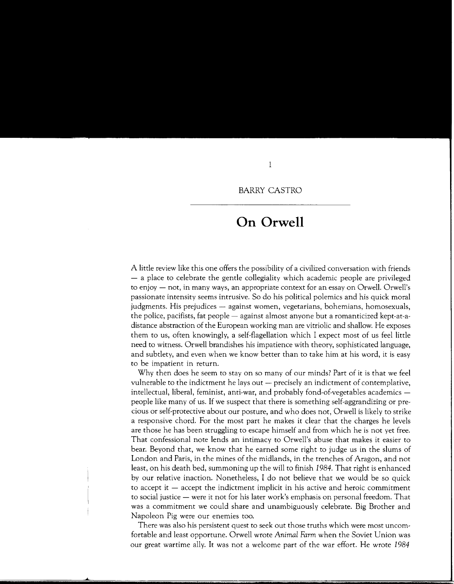## **On Orwell**

A little review like this one offers the possibility of a civilized conversation with friends  $-$  a place to celebrate the gentle collegiality which academic people are privileged to enjoy — not, in many ways, an appropriate context for an essay on Orwell. Orwell's passionate intensity seems intrusive. So do his political polemics and his quick moral judgments. His prejudices - against women, vegetarians, bohemians, homosexuals, the police, pacifists, fat people  $-$  against almost anyone but a romanticized kept-at-adistance abstraction of the European working man are vitriolic and shallow. He exposes them to us, often knowingly, a self-flagellation which I expect most of us feel little need to witness. Orwell brandishes his impatience with theory, sophisticated language, and subtlety, and even when we know better than to take him at his word, it is easy to be impatient in return.

Why then does he seem to stay on so many of our minds? Part of it is that we feel vulnerable to the indictment he lays out  $-$  precisely an indictment of contemplative, intellectual, liberal, feminist, anti-war, and probably fond-of-vegetables academics people like many of us. If we suspect that there is something self-aggrandizing or precious or self-protective about our posture, and who does not, Orwell is likely to strike a responsive chord. For the most part he makes it clear that the charges he levels are those he has been struggling to escape himself and from which he is not yet free. That confessional note lends an intimacy to Orwell's abuse that makes it easier to bear. Beyond that, we know that he earned some right to judge us in the slums of London and Paris, in the mines of the midlands, in the trenches of Aragon, and not least, on his death bed, summoning up the will to finish 1984. That right is enhanced by our relative inaction. Nonetheless, I do not believe that we would be so quick to accept it  $-$  accept the indictment implicit in his active and heroic commitment to social justice - were it not for his later work's emphasis on personal freedom. That was a commitment we could share and unambiguously celebrate. Big Brother and Napoleon Pig were our enemies too.

There was also his persistent quest to seek out those truths which were most uncomfortable and least opportune. Orwell wrote *Animal Farm* when the Soviet Union was our great wartime ally. It was not a welcome part of the war effort. He wrote 1984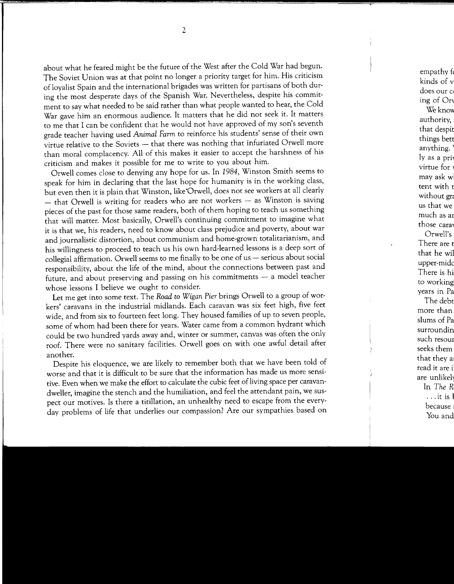about what he feared might be the future of the West after the Cold War had begun. The Soviet Union was at that point no longer a priority target for him. His criticism of loyalist Spain and the international brigades was written for partisans of both during the most desperate days of the Spanish War. Nevertheless, despite his commitment to say what needed to be said rather than what people wanted to hear, the Cold War gave him an enormous audience. It matters that he did not seek it. It matters to me that I can be confident that he would not have approved of my son's seventh grade teacher having used *Animal Farm* to reinforce his students' sense of their own virtue relative to the Soviets - that there was nothing that infuriated Orwell more than moral complacency. All of this makes it easier to accept the harshness of his criticism and makes it possible for me to write to you about him.

Orwell comes close to denying any hope for us. In 1984, Winston Smith seems to speak for him in declaring that the last hope for humanity is in the working class, but even then it is plain that Winston, like'Orwell, does not see workers at all clearly  $-$  that Orwell is writing for readers who are not workers  $-$  as Winston is saving pieces of the past for those same readers, both of them hoping to teach us something that will matter. Most basically, Orwell's continuing commitment to imagine what it is that we, his readers, need to know about class prejudice and poverty, about war and journalistic distortion, about communism and home-grown totalitarianism, and his willingness to proceed to teach us his own hard-learned lessons is a deep sort of  $collegial$  affirmation. Orwell seems to me finally to be one of us  $-$  serious about social responsibility, about the life of the mind, about the connections between past and future, and about preserving and passing on his commitments - a model teacher whose lessons I believe we ought to consider.

Let me get into some text. The *Road to Wigan Pier* brings Orwell to a group of workers' caravans in the industrial midlands. Each caravan was six feet high, five feet wide, and from six to fourteen feet long. They housed families of up to seven people, some of whom had been there for years. Water came from a common hydrant which could be two hundred yards away and, winter or summer, canvas was often the only roof. There were no sanitary facilities. Orwell goes on with one awful detail after another.

Despite his eloquence, we are likely to remember both that we have been told of worse and that it is difficult to be sure that the information has made us more sensitive. Even when we make the effort to calculate the cubic feet of living space per caravandweller, imagine the stench and the humiliation, and feel the attendant pain, we suspect our motives. Is there a titillation, an unhealthy need to escape from the everyday problems of life that underlies our compassion? Are our sympathies based on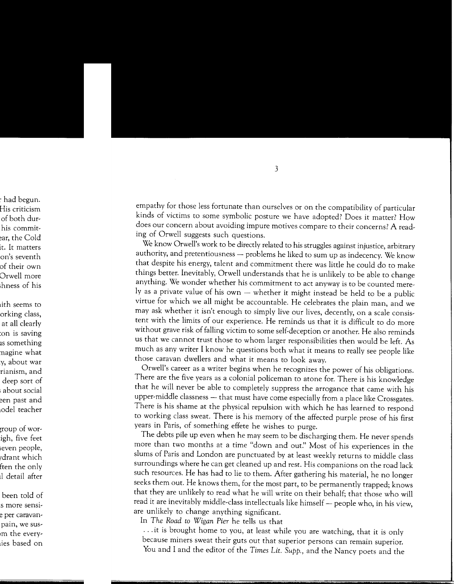empathy for those less fortunate than ourselves or on the compatibility of particular kinds of victims to some symbolic posture we have adopted? Does it matter? How does our concern about avoiding impure motives compare to their concerns? A reading of Orwell suggests such questions.

We know Orwell's work to be directly related to his struggles against injustice, arbitrary authority, and pretentiousness - problems he liked to sum up as indecency. We know that despite his energy, talent and commitment there was little he could do to make things better. Inevitably, Orwell understands that he is unlikely to be able to change anything. We wonder whether his commitment to act anyway is to be counted merely as a private value of his own  $-$  whether it might instead be held to be a public virtue for which we all might be accountable. He celebrates the plain man, and we may ask whether it isn't enough to simply live our lives, decently, on a scale consistent with the limits of our experience. He reminds us that it is difficult to do more without grave risk of falling victim to some self-deception or another. He also reminds us that we cannot trust those to whom larger responsibilities then would be left. As much as any writer I know he questions both what it means to really see people like those caravan dwellers and what it means to look away.

Orwell's career as a writer begins when he recognizes the power of his obligations. There are the five years as a colonial policeman to atone for. There is his knowledge that he will never be able to completely suppress the arrogance that came with his upper-middle classness - that must have come especially from a place like Crossgates. There is his shame at the physical repulsion with which he has learned to respond to working class sweat. There is his memory of the affected purple prose of his first years in Paris, of something effete he wishes to purge.

The debts pile up even when he may seem to be discharging them. He never spends more than two months at a time "down and out." Most of his experiences in the slums of Paris and London are punctuated by at least weekly returns to middle class surroundings where he can get cleaned up and rest. His companions on the road lack such resources. He has had to lie to them. After gathering his material, he no longer seeks them out. He knows them, for the most part, to be permanently trapped; knows that they are unlikely to read what he will write on their behalf; that those who will read it are inevitably middle-class intellectuals like himself - people who, in his view, are unlikely to change anything significant.

In *The Road to Wigan Pier* he tells us that

... it is brought home to you, at least while you are watching, that it is only because miners sweat their guts out that superior persons can remain superior. You and I and the editor of the *Times Lit. Supp.*, and the Nancy poets and the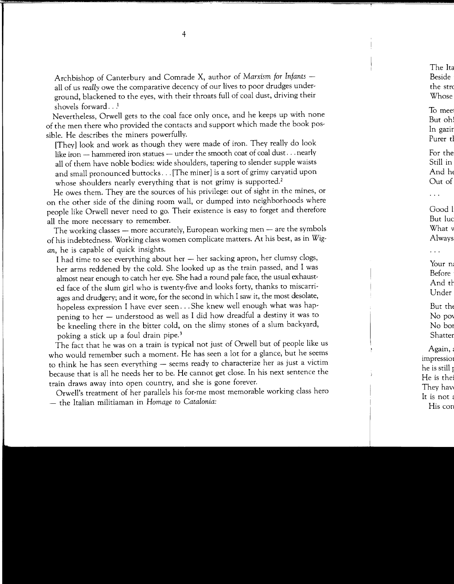Archbishop of Canterbury and Comrade X, author of Marxism for Infants all of us *really* owe the comparative decency of our lives to poor drudges underground, blackened to the eyes, with their throats full of coal dust, driving their shovels forward...<sup>1</sup>

Nevertheless, Orwell gets to the coal face only once, and he keeps up with none of the men there who provided the contacts and support which made the book possible. He describes the miners powerfully.

[They] look and work as though they were made of iron. They really do look like iron  $-$  hammered iron statues  $-$  under the smooth coat of coal dust . . . nearly all of them have noble bodies: wide shoulders, tapering to slender supple waists and small pronounced buttocks ... [The miner] is a sort of grimy caryatid upon whose shoulders nearly everything that is not grimy is supported.<sup>2</sup>

He owes them. They are the sources of his privilege: out of sight in the mines, or on the other side of the dining room wall, or dumped into neighborhoods where people like Orwell never need to go. Their existence is easy to forget and therefore all the more necessary to remember.

The working classes - more accurately, European working men - are the symbols of his indebtedness. Working class women complicate matters. At his best, as in *Wigan,* he is capable of quick insights.

I had time to see everything about her - her sacking apron, her clumsy clogs, her arms reddened by the cold. She looked up as the train passed, and I was almost near enough to catch her eye. She had a round pale face, the usual exhausted face of the slum girl who is twenty-five and looks forty, thanks to miscarriages and drudgery; and it wore, for the second in which I saw it, the most desolate, hopeless expression I have ever seen ... She knew well enough what was happening to her - understood as well as I did how dreadful a destiny it was to be kneeling there in the bitter cold, on the slimy stones of a slum backyard, poking a stick up a foul drain pipe.<sup>3</sup>

The fact that he was on a train is typical not just of Orwell but of people like us who would remember such a moment. He has seen a lot for a glance, but he seems to think he has seen everything - seems ready to characterize her as just a victim because that is all he needs her to be. He cannot get close. In his next sentence the train draws away into open country, and she is gone forever.

Orwell's treatment of her parallels his for-me most memorable working class hero - the Italian militiaman in *Homage to Catalonia:*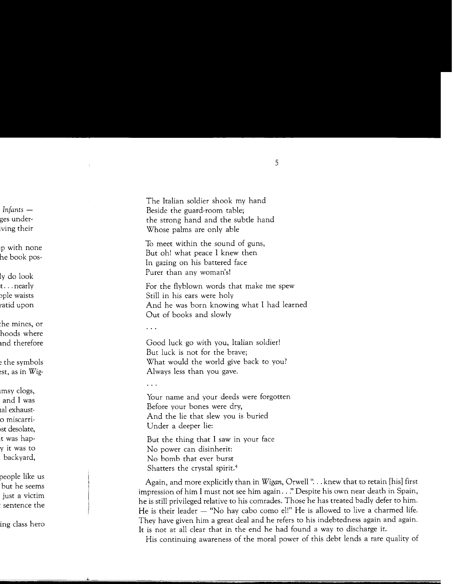The Italian soldier shook my hand Beside the guard-room table; the strong hand and the subtle hand Whose palms are only able

To meet within the sound of guns, But oh! what peace I knew then In gazing on his battered face Purer than any woman's!

For the flyblown words that make me spew Still in his ears were holy And he was born knowing what I had learned Out of books and slowly

 $\ldots$ 

Good luck go with you, Italian soldier! But luck is not for the brave; What would the world give back to you? Always less than you gave.

 $\ddotsc$ 

Your name and your deeds were forgotten Before your bones were dry, And the lie that slew you is buried Under a deeper lie:

But the thing that I saw in your face No power can disinherit: No bomb that ever burst Shatters the crystal spirit. <sup>4</sup>

Again, and more explicitly than in *Wigan,* Orwell" ... knew that to retain [his) first impression of him I must not see him again .. *:•* Despite his own near death in Spain, he is still privileged relative to his comrades. Those he has treated badly defer to him. He is their leader  $-$  "No hay cabo como el!" He is allowed to live a charmed life. They have given him a great deal and he refers to his indebtedness again and again. It is not at all clear that in the end he had found a way to discharge it.

His continuing awareness of the moral power of this debt lends a rare quality of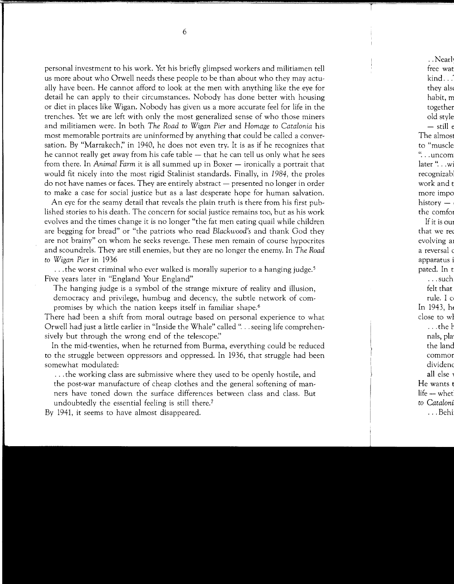personal investment to his work. Yet his briefly glimpsed workers and militiamen tell us more about who Orwell needs these people to be than about who they may actually have been. He cannot afford to look at the men with anything like the eye for detail he can apply to their circumstances. Nobody has done better with housing or diet in places like Wigan. Nobody has given us a more accurate feel for life in the trenches. Yet we are left with only the most generalized sense of who those miners and militiamen were. In both *The Road to Wigan Pier* and *Homage to Catalonia* his most memorable portraits are uninformed by anything that could be called a conversation. By "Marrakech;' in 1940, he does not even try. It is as if he recognizes that he cannot really get away from his cafe table  $-$  that he can tell us only what he sees from there. In *Animal Farm* it is all summed up in Boxer – ironically a portrait that would fit nicely into the most rigid Stalinist standards. Finally, in 1984, the proles do not have names or faces. They are entirely abstract  $-$  presented no longer in order to make a case for social justice but as a last desperate hope for human salvation.

An eye for the seamy detail that reveals the plain truth is there from his first published stories to his death. The concern for social justice remains too, but as his work evolves and the times change it is no longer "the fat men eating quail while children are begging for bread" or "the patriots who read *Blackwood's* and thank God they are not brainy" on whom he seeks revenge. These men remain of course hypocrites and scoundrels. They are still enemies, but they are no longer the enemy. In *The Road to Wigan Pier* in 1936

... the worst criminal who ever walked is morally superior to a hanging judge.<sup>5</sup> Five years later in "England Your England"

The hanging judge is a symbol of the strange mixture of reality and illusion, democracy and privilege, humbug and decency, the subtle network of compromises by which the nation keeps itself in familiar shape.<sup>6</sup>

There had been a shift from moral outrage based on personal experience to what Orwell had just a little earlier in "Inside the Whale" called " ... seeing life comprehensively but through the wrong end of the telescope."

In the mid-twenties, when he returned from Burma, everything could be reduced to the struggle between oppressors and oppressed. In 1936, that struggle had been somewhat modulated:

... the working class are submissive where they used to be openly hostile, and the post-war manufacture of cheap clothes and the general softening of manners have toned down the surface differences between class and class. But undoubtedly the essential feeling is still there.?

By 1941, it seems to have almost disappeared.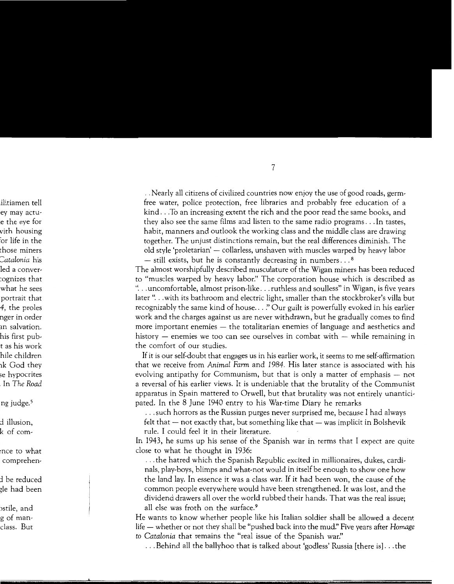.. Nearly all citizens of civilized countries now enjoy the use of good roads, germfree water, police protection, free libraries and probably free education of a kind .. .To an increasing extent the rich and the poor read the same books, and they also see the same films and listen to the same radio programs ... In tastes, habit, manners and outlook the working class and the middle class are drawing together. The unjust distinctions remain, but the real differences diminish. The old style 'proletarian' – collarless, unshaven with muscles warped by heavy labor

 $-$  still exists, but he is constantly decreasing in numbers...<sup>8</sup> The almost worshipfully described musculature of the Wigan miners has been reduced to "muscles warped by heavy labor!' The corporation house which is described as "... uncomfortable, almost prison-like... ruthless and soulless" in Wigan, is five years later "... with its bathroom and electric light, smaller than the stockbroker's villa but recognizably the same kind of house ... *!'* Our guilt is powerfully evoked in his earlier work and the charges against us are never withdrawn, but he gradually comes to find more important enemies — the totalitarian enemies of language and aesthetics and history  $-$  enemies we too can see ourselves in combat with  $-$  while remaining in the comfort of our studies.

If it is our self-doubt that engages us in his earlier work, it seems to me self-affirmation that we receive from *Animal Farm* and *1984.* His later stance is associated with his evolving antipathy for Communism, but that is only a matter of emphasis – not a reversal of his earlier views. It is undeniable that the brutality of the Communist apparatus in Spain mattered to Orwell, but that brutality was not entirely unanticipated. In the 8 June 1940 entry to his War-time Diary he remarks

... such horrors as the Russian purges never surprised me, because I had always

felt that  $-$  not exactly that, but something like that  $-$  was implicit in Bolshevik rule. I could feel it in their literature.

In 1943, he sums up his sense of the Spanish war in terms that I expect are quite close to what he thought in 1936:

... the hatred which the Spanish Republic excited in millionaires, dukes, cardinals, play-boys, blimps and what-not would in itself be enough to show one how the land lay. In essence it was a class war. If it had been won, the cause of the common people everywhere would have been strengthened. It was lost, and the dividend drawers all over the world rubbed their hands. That was the real issue; all else was froth on the surface.9

He wants to know whether people like his Italian soldier shall be allowed a decent life - whether or not they shall be "pushed back into the mud." Five years after *Homage to Catalonia* that remains the "real issue of the Spanish war."

... Behind all the ballyhoo that is talked about 'godless' Russia [there is] ... the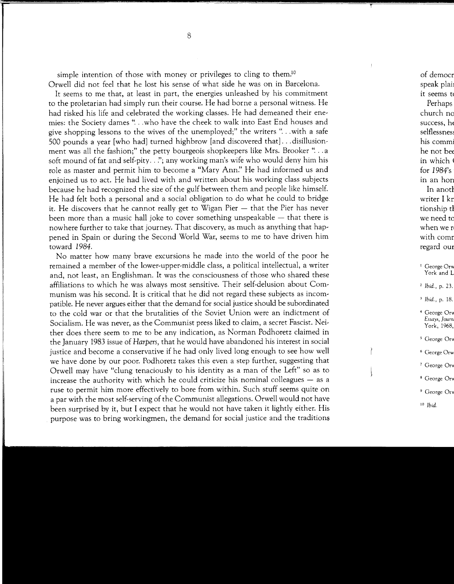simple intention of those with money or privileges to cling to them.<sup>10</sup> Orwell did not feel that he lost his sense of what side he was on in Barcelona.

It seems to me that, at least in part, the energies unleashed by his commitment to the proletarian had simply run their course. He had borne a personal witness. He had risked his life and celebrated the working classes. He had demeaned their enemies: the Society dames " ... who have the cheek to walk into East End houses and give shopping lessons to the wives of the unemployed;" the writers "... with a safe 500 pounds a year [who had] turned highbrow [and discovered that] ... disillusionment was all the fashion;" the petty bourgeois shopkeepers like Mrs. Brooker "...a soft mound of fat and self-pity..."; any working man's wife who would deny him his role as master and permit him to become a "Mary Ann:' He had informed us and enjoined us to act. He had lived with and written about his working class subjects because he had Tecognized the size of the gulf between them and people like himself. He had felt both a personal and a social obligation to do what he could to bridge it. He discovers that he cannot really get to Wigan Pier  $-$  that the Pier has never been more than a music hall joke to cover something unspeakable  $-$  that there is nowhere further to take that journey. That discovery, as much as anything that happened in Spain or during the Second World War, seems to me to have driven him toward *1984.* 

No matter how many brave excursions he made into the world of the poor he remained a member of the lower-upper-middle class, a political intellectual, a writer and, not least, an Englishman. It was the consciousness of those who shared these affiliations to which he was always most sensitive. Their self-delusion about Communism was his second. It is critical that he did not regard these subjects as incompatible. He never argues either that the demand for social justice should be subordinated to the cold war or that the brutalities of the Soviet Union were an indictment of Socialism. He was never, as the Communist press liked to claim, a secret Fascist. Neither does there seem to me to be any indication, as Norman Podhoretz claimed in the January 1983 issue of *Harpers,* that he would have abandoned his interest in social justice and become a conservative if he had only lived long enough to see how well we have done by our poor. Podhoretz takes this even a step further, suggesting that Orwell may have "clung tenaciously to his identity as a man of the Left" so as to increase the authority with which he could criticize his nominal colleagues  $-$  as a ruse to permit him more effectively to bore from within. Such stuff seems quite on a par with the most self-serving of the Communist allegations. Orwell would not have been surprised by it, but I expect that he would not have taken it lightly either. His purpose was to bring workingmen, the demand for social justice and the traditions